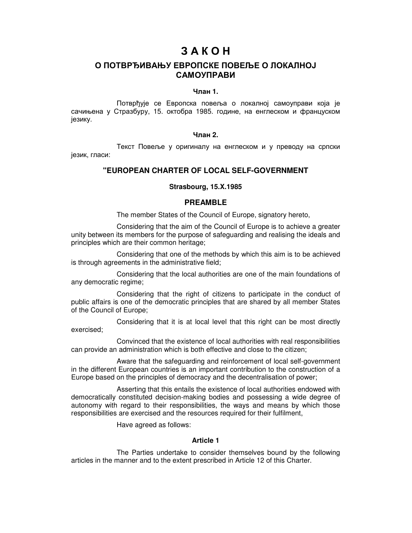# **3 A K O H**

# О ПОТВРЂИВАЊУ ЕВРОПСКЕ ПОВЕЉЕ О ЛОКАЛНОЈ CAMOYNPABИ

#### **1.**

Потврђује се Европска повеља о локалној самоуправи која је сачињена у Стразбуру, 15. октобра 1985. године, на енглеском и француском іезику.

# Члан 2.

Текст Повеље у оригиналу на енглеском и у преводу на српски језик, гласи:

# **"EUROPEAN CHARTER OF LOCAL SELF-GOVERNMENT**

# **Strasbourg, 15.X.1985**

# **PREAMBLE**

The member States of the Council of Europe, signatory hereto,

Considering that the aim of the Council of Europe is to achieve a greater unity between its members for the purpose of safeguarding and realising the ideals and principles which are their common heritage;

Considering that one of the methods by which this aim is to be achieved is through agreements in the administrative field;

Considering that the local authorities are one of the main foundations of any democratic regime;

Considering that the right of citizens to participate in the conduct of public affairs is one of the democratic principles that are shared by all member States of the Council of Europe;

Considering that it is at local level that this right can be most directly exercised;

Convinced that the existence of local authorities with real responsibilities can provide an administration which is both effective and close to the citizen;

Aware that the safeguarding and reinforcement of local self-government in the different European countries is an important contribution to the construction of a Europe based on the principles of democracy and the decentralisation of power;

Asserting that this entails the existence of local authorities endowed with democratically constituted decision-making bodies and possessing a wide degree of autonomy with regard to their responsibilities, the ways and means by which those responsibilities are exercised and the resources required for their fulfilment,

Have agreed as follows:

# **Article 1**

The Parties undertake to consider themselves bound by the following articles in the manner and to the extent prescribed in Article 12 of this Charter.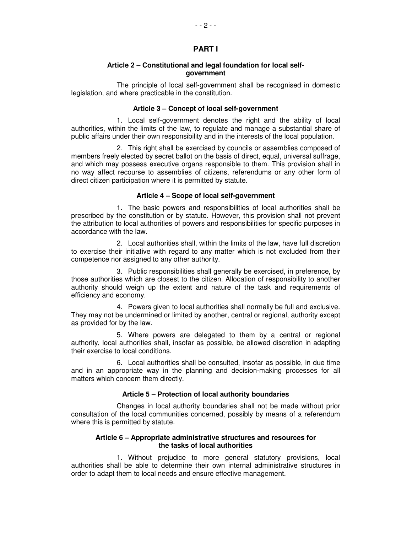# **PART I**

# **Article 2 – Constitutional and legal foundation for local selfgovernment**

The principle of local self-government shall be recognised in domestic legislation, and where practicable in the constitution.

# **Article 3 – Concept of local self-government**

1. Local self-government denotes the right and the ability of local authorities, within the limits of the law, to regulate and manage a substantial share of public affairs under their own responsibility and in the interests of the local population.

2. This right shall be exercised by councils or assemblies composed of members freely elected by secret ballot on the basis of direct, equal, universal suffrage, and which may possess executive organs responsible to them. This provision shall in no way affect recourse to assemblies of citizens, referendums or any other form of direct citizen participation where it is permitted by statute.

# **Article 4 – Scope of local self-government**

1. The basic powers and responsibilities of local authorities shall be prescribed by the constitution or by statute. However, this provision shall not prevent the attribution to local authorities of powers and responsibilities for specific purposes in accordance with the law.

2. Local authorities shall, within the limits of the law, have full discretion to exercise their initiative with regard to any matter which is not excluded from their competence nor assigned to any other authority.

3. Public responsibilities shall generally be exercised, in preference, by those authorities which are closest to the citizen. Allocation of responsibility to another authority should weigh up the extent and nature of the task and requirements of efficiency and economy.

4. Powers given to local authorities shall normally be full and exclusive. They may not be undermined or limited by another, central or regional, authority except as provided for by the law.

5. Where powers are delegated to them by a central or regional authority, local authorities shall, insofar as possible, be allowed discretion in adapting their exercise to local conditions.

6. Local authorities shall be consulted, insofar as possible, in due time and in an appropriate way in the planning and decision-making processes for all matters which concern them directly.

# **Article 5 – Protection of local authority boundaries**

Changes in local authority boundaries shall not be made without prior consultation of the local communities concerned, possibly by means of a referendum where this is permitted by statute.

# **Article 6 – Appropriate administrative structures and resources for the tasks of local authorities**

1. Without prejudice to more general statutory provisions, local authorities shall be able to determine their own internal administrative structures in order to adapt them to local needs and ensure effective management.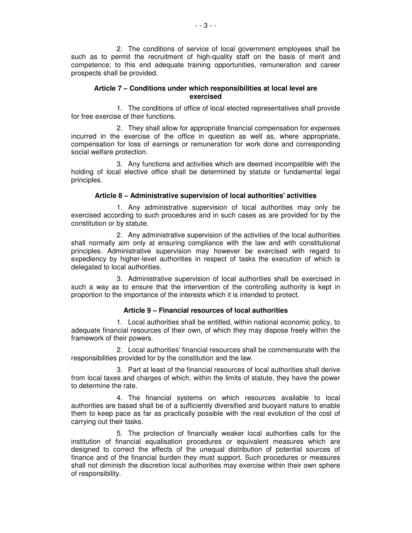2. The conditions of service of local government employees shall be such as to permit the recruitment of high-quality staff on the basis of merit and competence; to this end adequate training opportunities, remuneration and career prospects shall be provided.

# **Article 7 – Conditions under which responsibilities at local level are exercised**

1. The conditions of office of local elected representatives shall provide for free exercise of their functions.

2. They shall allow for appropriate financial compensation for expenses incurred in the exercise of the office in question as well as, where appropriate, compensation for loss of earnings or remuneration for work done and corresponding social welfare protection.

3. Any functions and activities which are deemed incompatible with the holding of local elective office shall be determined by statute or fundamental legal principles.

# **Article 8 – Administrative supervision of local authorities' activities**

1. Any administrative supervision of local authorities may only be exercised according to such procedures and in such cases as are provided for by the constitution or by statute.

2. Any administrative supervision of the activities of the local authorities shall normally aim only at ensuring compliance with the law and with constitutional principles. Administrative supervision may however be exercised with regard to expediency by higher-level authorities in respect of tasks the execution of which is delegated to local authorities.

3. Administrative supervision of local authorities shall be exercised in such a way as to ensure that the intervention of the controlling authority is kept in proportion to the importance of the interests which it is intended to protect.

# **Article 9 – Financial resources of local authorities**

1. Local authorities shall be entitled, within national economic policy, to adequate financial resources of their own, of which they may dispose freely within the framework of their powers.

2. Local authorities' financial resources shall be commensurate with the responsibilities provided for by the constitution and the law.

3. Part at least of the financial resources of local authorities shall derive from local taxes and charges of which, within the limits of statute, they have the power to determine the rate.

4. The financial systems on which resources available to local authorities are based shall be of a sufficiently diversified and buoyant nature to enable them to keep pace as far as practically possible with the real evolution of the cost of carrying out their tasks.

5. The protection of financially weaker local authorities calls for the institution of financial equalisation procedures or equivalent measures which are designed to correct the effects of the unequal distribution of potential sources of finance and of the financial burden they must support. Such procedures or measures shall not diminish the discretion local authorities may exercise within their own sphere of responsibility.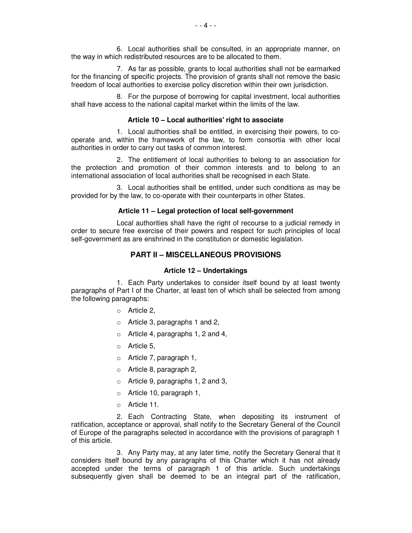6. Local authorities shall be consulted, in an appropriate manner, on the way in which redistributed resources are to be allocated to them.

7. As far as possible, grants to local authorities shall not be earmarked for the financing of specific projects. The provision of grants shall not remove the basic freedom of local authorities to exercise policy discretion within their own jurisdiction.

8. For the purpose of borrowing for capital investment, local authorities shall have access to the national capital market within the limits of the law.

# **Article 10 – Local authorities' right to associate**

1. Local authorities shall be entitled, in exercising their powers, to cooperate and, within the framework of the law, to form consortia with other local authorities in order to carry out tasks of common interest.

2. The entitlement of local authorities to belong to an association for the protection and promotion of their common interests and to belong to an international association of local authorities shall be recognised in each State.

3. Local authorities shall be entitled, under such conditions as may be provided for by the law, to co-operate with their counterparts in other States.

# **Article 11 – Legal protection of local self-government**

Local authorities shall have the right of recourse to a judicial remedy in order to secure free exercise of their powers and respect for such principles of local self-government as are enshrined in the constitution or domestic legislation.

# **PART II – MISCELLANEOUS PROVISIONS**

# **Article 12 – Undertakings**

1. Each Party undertakes to consider itself bound by at least twenty paragraphs of Part I of the Charter, at least ten of which shall be selected from among the following paragraphs:

- o Article 2,
- o Article 3, paragraphs 1 and 2,
- o Article 4, paragraphs 1, 2 and 4,
- o Article 5,
- o Article 7, paragraph 1,
- o Article 8, paragraph 2,
- o Article 9, paragraphs 1, 2 and 3,
- o Article 10, paragraph 1,
- o Article 11.

2. Each Contracting State, when depositing its instrument of ratification, acceptance or approval, shall notify to the Secretary General of the Council of Europe of the paragraphs selected in accordance with the provisions of paragraph 1 of this article.

3. Any Party may, at any later time, notify the Secretary General that it considers itself bound by any paragraphs of this Charter which it has not already accepted under the terms of paragraph 1 of this article. Such undertakings subsequently given shall be deemed to be an integral part of the ratification,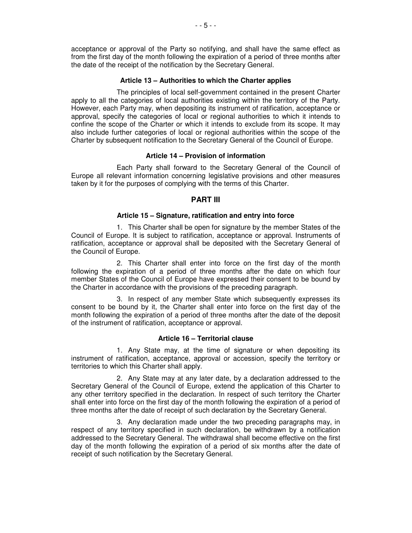acceptance or approval of the Party so notifying, and shall have the same effect as from the first day of the month following the expiration of a period of three months after the date of the receipt of the notification by the Secretary General.

# **Article 13 – Authorities to which the Charter applies**

The principles of local self-government contained in the present Charter apply to all the categories of local authorities existing within the territory of the Party. However, each Party may, when depositing its instrument of ratification, acceptance or approval, specify the categories of local or regional authorities to which it intends to confine the scope of the Charter or which it intends to exclude from its scope. It may also include further categories of local or regional authorities within the scope of the Charter by subsequent notification to the Secretary General of the Council of Europe.

#### **Article 14 – Provision of information**

Each Party shall forward to the Secretary General of the Council of Europe all relevant information concerning legislative provisions and other measures taken by it for the purposes of complying with the terms of this Charter.

# **PART III**

### **Article 15 – Signature, ratification and entry into force**

1. This Charter shall be open for signature by the member States of the Council of Europe. It is subject to ratification, acceptance or approval. Instruments of ratification, acceptance or approval shall be deposited with the Secretary General of the Council of Europe.

2. This Charter shall enter into force on the first day of the month following the expiration of a period of three months after the date on which four member States of the Council of Europe have expressed their consent to be bound by the Charter in accordance with the provisions of the preceding paragraph.

3. In respect of any member State which subsequently expresses its consent to be bound by it, the Charter shall enter into force on the first day of the month following the expiration of a period of three months after the date of the deposit of the instrument of ratification, acceptance or approval.

#### **Article 16 – Territorial clause**

1. Any State may, at the time of signature or when depositing its instrument of ratification, acceptance, approval or accession, specify the territory or territories to which this Charter shall apply.

2. Any State may at any later date, by a declaration addressed to the Secretary General of the Council of Europe, extend the application of this Charter to any other territory specified in the declaration. In respect of such territory the Charter shall enter into force on the first day of the month following the expiration of a period of three months after the date of receipt of such declaration by the Secretary General.

3. Any declaration made under the two preceding paragraphs may, in respect of any territory specified in such declaration, be withdrawn by a notification addressed to the Secretary General. The withdrawal shall become effective on the first day of the month following the expiration of a period of six months after the date of receipt of such notification by the Secretary General.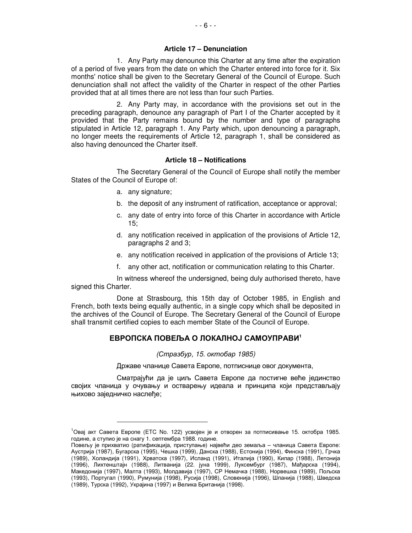# **Article 17 – Denunciation**

1. Any Party may denounce this Charter at any time after the expiration of a period of five years from the date on which the Charter entered into force for it. Six months' notice shall be given to the Secretary General of the Council of Europe. Such denunciation shall not affect the validity of the Charter in respect of the other Parties provided that at all times there are not less than four such Parties.

2. Any Party may, in accordance with the provisions set out in the preceding paragraph, denounce any paragraph of Part I of the Charter accepted by it provided that the Party remains bound by the number and type of paragraphs stipulated in Article 12, paragraph 1. Any Party which, upon denouncing a paragraph, no longer meets the requirements of Article 12, paragraph 1, shall be considered as also having denounced the Charter itself.

#### **Article 18 – Notifications**

The Secretary General of the Council of Europe shall notify the member States of the Council of Europe of:

- a. any signature;
- b. the deposit of any instrument of ratification, acceptance or approval;
- c. any date of entry into force of this Charter in accordance with Article 15;
- d. any notification received in application of the provisions of Article 12, paragraphs 2 and 3;
- e. any notification received in application of the provisions of Article 13;
- f. any other act, notification or communication relating to this Charter.

In witness whereof the undersigned, being duly authorised thereto, have signed this Charter.

Done at Strasbourg, this 15th day of October 1985, in English and French, both texts being equally authentic, in a single copy which shall be deposited in the archives of the Council of Europe. The Secretary General of the Council of Europe shall transmit certified copies to each member State of the Council of Europe.

# ЕВРОПСКА ПОВЕЉА О ЛОКАЛНОЈ САМОУПРАВИ<sup>1</sup>

(Стразбур, 15. октобар 1985)

Државе чланице Савета Европе, потписнице овог документа,

Сматрајући да је циљ Савета Европе да постигне веће јединство својих чланица у очувању и остварењу идеала и принципа који представљају њихово заједничко наслеђе;

<sup>&</sup>lt;sup>1</sup>Овај акт Савета Европе (ЕТС No. 122) усвојен је и отворен за потписивање 15. октобра 1985. године, а ступио је на снагу 1. септембра 1988. године.

Повељу је прихватио (ратификација, приступање) највећи део земаља – чланица Савета Европе: Аустрија (1987), Бугарска (1995), Чешка (1999), Данска (1988), Естонија (1994), Финска (1991), Грчка (1989), Холандија (1991), Хрватска (1997), Исланд (1991), Италија (1990), Кипар (1988), Летонија (1996), Лихтенштајн (1988), Литванија (22. јуна 1999), Луксембург (1987), Мађарска (1994), Македонија (1997), Малта (1993), Молдавија (1997), СР Немачка (1988), Норвешка (1989), Пољска (1993), Португал (1990), Румунија (1998), Русија (1998), Словенија (1996), Шпанија (1988), Шведска (1989), Турска (1992), Украјина (1997) и Велика Британија (1998).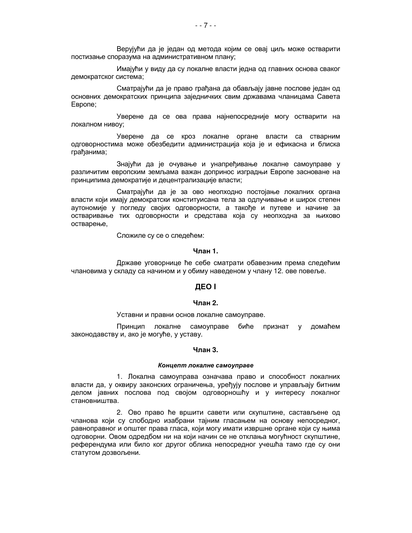Верујући да је један од метода којим се овај циљ може остварити постизање споразума на административном плану;

Имајући у виду да су локалне власти једна од главних основа сваког демократског система;

Сматрајући да је право грађана да обављају јавне послове један од основних демократских принципа заједничких свим државама чланицама Савета Европе:

Уверене да се ова права најнепосредније могу остварити на локалном нивоу:

Уверене да се кроз локалне органе власти са стварним одговорностима може обезбедити администрација која је и ефикасна и блиска грађанима;

Знајући да је очување и унапређивање локалне самоуправе у различитим европским земљама важан допринос изградњи Европе засноване на принципима демократије и децентрализације власти;

Сматрајући да је за ово неопходно постојање локалних органа власти који имају демократски конституисана тела за одлучивање и широк степен аутономије у погледу својих одговорности, а такође и путеве и начине за остваривање тих одговорности и средстава која су неопходна за њихово остварење.

Сложиле су се о следећем:

#### Члан 1.

Државе уговорнице ће себе сматрати обавезним према следећим члановима у складу са начином и у обиму наведеном у члану 12. ове повеље.

# ЛЕО І

#### Члан 2.

Уставни и правни основ локалне самоуправе.

Принцип локалне самоуправе биће признат у домаћем законодавству и, ако је могуће, у уставу.

#### Члан 3.

### Концепт локалне самоуправе

1. Локална самоуправа означава право и способност локалних власти да, у оквиру законских ограничења, уређују послове и управљају битним делом јавних послова под својом одговорношћу и у интересу локалног становништва.

2. Ово право ће вршити савети или скупштине, састављене од чланова који су слободно изабрани тајним гласањем на основу непосредног, равноправног и општег права гласа, који могу имати извршне органе који су њима одговорни. Овом одредбом ни на који начин се не отклања могућност скупштине, референдума или било ког другог облика непосредног учешћа тамо где су они статутом дозвољени.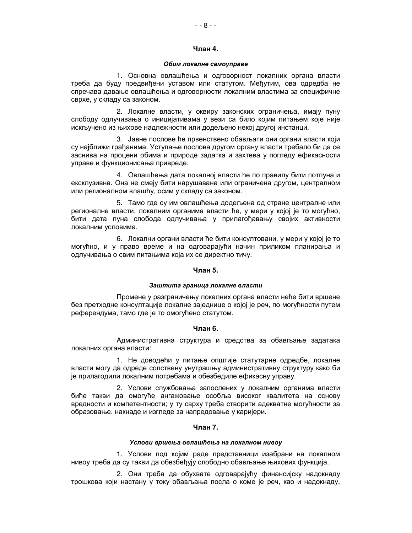#### Члан 4.

#### Обим локалне самоуправе

1. Основна овлашћења и одговорност локалних органа власти треба да буду предвиђени уставом или статутом. Међутим, ова одредба не спречава давање овлашћења и одговорности локалним властима за специфичне сврхе, у складу са законом.

2. Локалне власти, у оквиру законских ограничења, имају пуну слободу одлучивања о иницијативама у вези са било којим питањем које није искључено из њихове надлежности или додељено некој другој инстанци.

3. Јавне послове ће првенствено обављати они органи власти који су најближи грађанима. Уступање послова другом органу власти требало би да се заснива на процени обима и природе задатка и захтева у погледу ефикасности управе и функционисања привреде.

4. Овлашћења дата локалној власти ће по правилу бити потпуна и ексклузивна. Она не смеју бити нарушавана или ограничена другом, централном или регионалном влашћу, осим у складу са законом.

5. Тамо где су им овлашћења додељена од стране централне или регионалне власти, локалним органима власти ће, у мери у којој је то могућно, бити дата пуна слобода одлучивања у прилагођавању својих активности локалним условима.

6. Локални органи власти ће бити консултовани, у мери у којој је то могућно, и у право време и на одговарајући начин приликом планирања и одлучивања о свим питањима која их се директно тичу.

#### Члан 5.

#### Заштита граница локалне власти

Промене у разграничењу локалних органа власти неће бити вршене без претходне консултације локалне заједнице о којој је реч, по могућности путем референдума, тамо где је то омогућено статутом.

# Члан 6.

Административна структура и средства за обављање задатака локалних органа власти:

1. Не доводећи у питање општије статутарне одредбе, локалне власти могу да одреде сопствену унутрашњу административну структуру како би је прилагодили локалним потребама и обезбедиле ефикасну управу.

2. Услови службовања запослених у локалним органима власти биће такви да омогуће ангажовање особља високог квалитета на основу вредности и компетентности; у ту сврху треба створити адекватне могућности за образовање, накнаде и изгледе за напредовање у каријери.

# Члан 7.

#### Услови вршења овлашћења на локалном нивоу

1. Услови под којим раде представници изабрани на локалном нивоу треба да су такви да обезбећују слободно обављање њихових функција.

2. Они треба да обухвате одговарајућу финансијску надокнаду трошкова који настану у току обављања посла о коме је реч, као и надокнаду,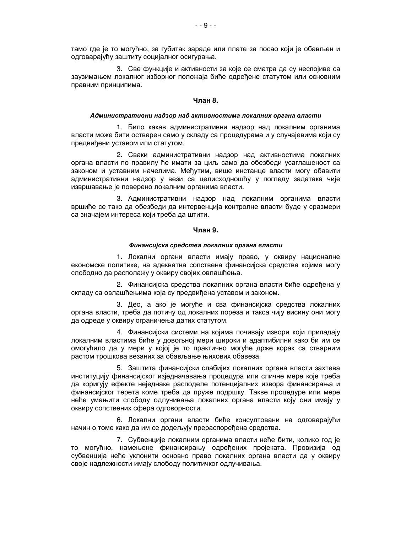тамо где је то могућно, за губитак зараде или плате за посао који је обављен и одговарајућу заштиту социјалног осигурања.

3. Све функције и активности за које се сматра да су неспојиве са заузимањем локалног изборног положаја биће одређене статутом или основним правним принципима.

# Члан 8.

#### Административни надзор над активностима локалних органа власти

1. Било какав административни надзор над локалним органима власти може бити остварен само у складу са процедурама и у случајевима који су предвиђени уставом или статутом.

2. Сваки административни надзор над активностима локалних органа власти по правилу ће имати за циљ само да обезбеди усаглашеност са законом и уставним начелима. Међутим, више инстанце власти могу обавити административни надзор у вези са целисходношћу у погледу задатака чије извршавање је поверено локалним органима власти.

3. Административни надзор над локалним органима власти вршиће се тако да обезбеди да интервенција контролне власти буде у сразмери са значајем интереса који треба да штити.

# **Чпан 9**

#### Финансијска средства локалних органа власти

1. Локални органи власти имају право, у оквиру националне економске политике, на адекватна сопствена финансијска средства којима могу слободно да располажу у оквиру својих овлашћења.

2. Финансијска средства локалних органа власти биће одређена у складу са овлашћењима која су предвиђена уставом и законом.

3. Део, а ако је могуће и сва финансијска средства локалних органа власти, треба да потичу од локалних пореза и такса чију висину они могу да одреде у оквиру ограничења датих статутом.

4. Финансијски системи на којима почивају извори који припадају локалним властима биће у довољној мери широки и адаптибилни како би им се омогућило да у мери у којој је то практично могуће држе корак са стварним растом трошкова везаних за обављање њихових обавеза.

5. Заштита финансијски слабијих локалних органа власти захтева институцију финансијског изједначавања процедура или сличне мере које треба да коригују ефекте неједнаке расподеле потенцијалних извора финансирања и финансијског терета коме треба да пруже подршку. Такве процедуре или мере неће умањити слободу одлучивања локалних органа власти коју они имају у оквиру сопствених сфера одговорности.

6. Локални органи власти биће консултовани на одговарајући начин о томе како да им се додељују прераспоређена средства.

7. Субвенције локалним органима власти неће бити, колико год је то могућно, намењене финансирању одређених пројеката. Провизија од субвенција неће уклонити основно право локалних органа власти да у оквиру своје надлежности имају слободу политичког одлучивања.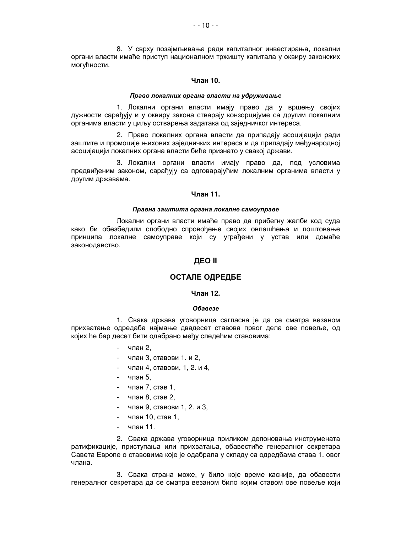8. У сврху позајмљивања ради капиталног инвестирања, локални органи власти имаће приступ националном тржишту капитала у оквиру законских могућности.

#### Чпан 10.

#### Право локалних органа власти на удруживање

1. Локални органи власти имају право да у вршењу својих дужности сарађују и у оквиру закона стварају конзорцијуме са другим локалним органима власти у циљу остварења задатака од заједничког интереса.

2. Право локалних органа власти да припадају асоцијацији ради заштите и промоције њихових заједничких интереса и да припадају међународној асоцијацији локалних органа власти биће признато у свакој држави.

3. Локални органи власти имају право да, под условима предвиђеним законом, сарађују са одговарајућим локалним органима власти у другим државама.

### Чпан 11

#### Правна заштита органа локалне самоуправе

Локални органи власти имаће право да прибегну жалби код суда како би обезбедили слободно спровођење својих овлашћења и поштовање принципа локалне самоуправе који су уграђени у устав или домаће законодавство.

# **IEO II**

# ОСТАЛЕ ОДРЕДБЕ

#### Члан 12.

#### Обавезе

1. Свака држава уговорница сагласна је да се сматра везаном прихватање одредаба најмање двадесет ставова првог дела ове повеље, од којих ће бар десет бити одабрано међу следећим ставовима:

- члан 2,
- члан 3, ставови 1. и 2,
- члан 4, ставови, 1, 2. и 4,
- члан 5.
- члан 7, став 1,
- члан 8, став 2,
- члан 9, ставови 1, 2, и 3,
- члан 10, став 1,
- $-$  члан 11.

2. Свака држава уговорница приликом депоновања инструмената ратификације, приступања или прихватања, обавестиће генералног секретара Савета Европе о ставовима које је одабрала у складу са одредбама става 1. овог члана.

3. Свака страна може, у било које време касније, да обавести генералног секретара да се сматра везаном било којим ставом ове повеље који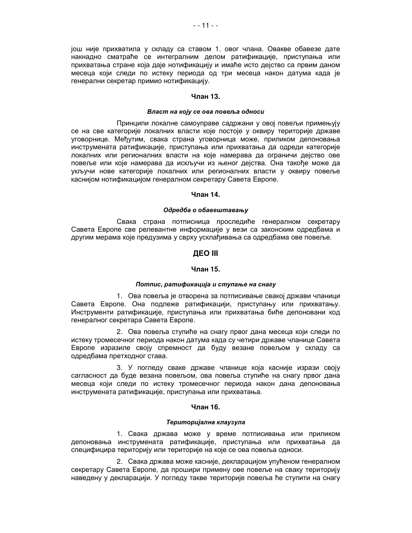још није прихватила у складу са ставом 1. овог члана. Овакве обавезе дате накнадно сматраће се интегралним делом ратификације, приступања или прихватања стране која даје нотификацију и имаће исто дејство са првим даном месеца који следи по истеку периода од три месеца након датума када је генерални секретар примио нотификацију.

### Члан 13.

#### Власт на коју се ова повеља односи

Принципи локалне самоуправе садржани у овој повељи примењују се на све категорије локалних власти које постоје у оквиру територије државе уговорнице. Међутим, свака страна уговорница може, приликом депоновања инструмената ратификације, приступања или прихватања да одреди категорије локалних или регионалних власти на које намерава да ограничи дејство ове повеље или које намерава да искључи из њеног дејства. Она такође може да укључи нове категорије локалних или регионалних власти у оквиру повеље каснијом нотификацијом генералном секретару Савета Европе.

#### Члан 14.

#### Одредба о обавештавању

Свака страна потписница проследиће генералном секретару Савета Европе све релевантне информације у вези са законским одредбама и другим мерама које предузима у сврху усклађивања са одредбама ове повеље.

# **III** DEO

# Чпан 15.

#### Потпис, ратификација и ступање на снагу

1. Ова повеља је отворена за потписивање свакој држави чланици Савета Европе. Она подлеже ратификацији, приступању или прихватању. Инструменти ратификације, приступања или прихватања биће депоновани код генералног секретара Савета Европе.

2. Ова повеља ступиће на снагу првог дана месеца који следи по истеку тромесечног периода након датума када су четири државе чланице Савета Европе изразиле своју спремност да буду везане повељом у складу са одредбама претходног става.

3. У погледу сваке државе чланице која касније изрази своју сагласност да буде везана повељом, ова повеља ступиће на снагу првог дана месеца који следи по истеку тромесечног периода након дана депоновања инструмената ратификације, приступања или прихватања.

#### Члан 16.

#### Територијална клаузула

1. Свака држава може у време потписивања или приликом депоновања инструмената ратификације, приступања или прихватања да специфицира територију или територије на које се ова повеља односи.

2. Свака држава може касније, декларацијом упућеном генералном секретару Савета Европе, да прошири примену ове повеље на сваку територију наведену у декларацији. У погледу такве територије повеља ће ступити на снагу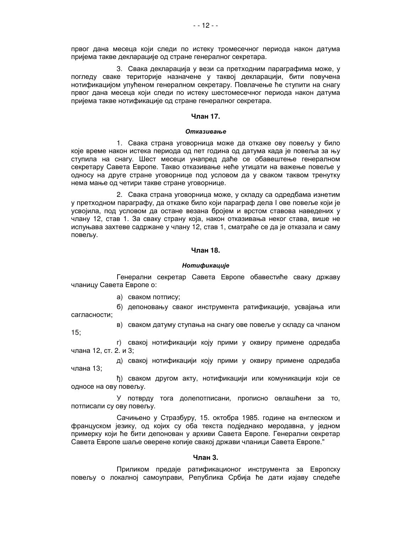првог дана месеца који следи по истеку тромесечног периода након датума пријема такве декларације од стране генералног секретара.

3. Свака декларација у вези са претходним параграфима може, у погледу сваке територије назначене у таквој декларацији, бити повучена нотификацијом упућеном генералном секретару. Повлачење ће ступити на снагу првог дана месеца који следи по истеку шестомесечног периода након датума пријема такве нотификације од стране генералног секретара.

#### Члан 17.

#### **Отказивање**

1. Свака страна уговорница може да откаже ову повељу у било које време након истека периода од пет година од датума када је повеља за њу ступила на снагу. Шест месеци унапред даће се обавештење генералном секретару Савета Европе. Такво отказивање неће утицати на важење повеље у односу на друге стране уговорнице под условом да у сваком таквом тренутку нема мање од четири такве стране уговорнице.

2. Свака страна уговорница може, у складу са одредбама изнетим у претходном параграфу, да откаже било који параграф дела I ове повеље који је усвојила, под условом да остане везана бројем и врстом ставова наведених у члану 12, став 1. За сваку страну која, након отказивања неког става, више не испуњава захтеве садржане у члану 12, став 1, сматраће се да је отказала и саму повељу.

### Члан 18.

#### **Нотификације**

Генерални секретар Савета Европе обавестиће сваку државу чланицу Савета Европе о:

а) сваком потпису;

 $15:$ 

б) депоновању сваког инструмента ратификације, усвајања или сагласности:

в) сваком датуму ступања на снагу ове повеље у складу са чланом

г) свакој нотификацији коју прими у оквиру примене одредаба члана 12, ст. 2. и 3;

д) свакој нотификацији коју прими у оквиру примене одредаба члана 13:

ђ) сваком другом акту, нотификацији или комуникацији који се односе на ову повељу.

У потврду тога долепотписани, прописно овлашћени за то, потписали су ову повељу.

Сачињено у Стразбуру, 15. октобра 1985. године на енглеском и француском језику, од којих су оба текста подједнако меродавна, у једном примерку који ће бити депонован у архиви Савета Европе. Генерални секретар Савета Европе шаље оверене копије свакој држави чланици Савета Европе."

#### Члан 3.

Приликом предаје ратификационог инструмента за Европску повељу о локалној самоуправи, Република Србија ће дати изјаву следеће